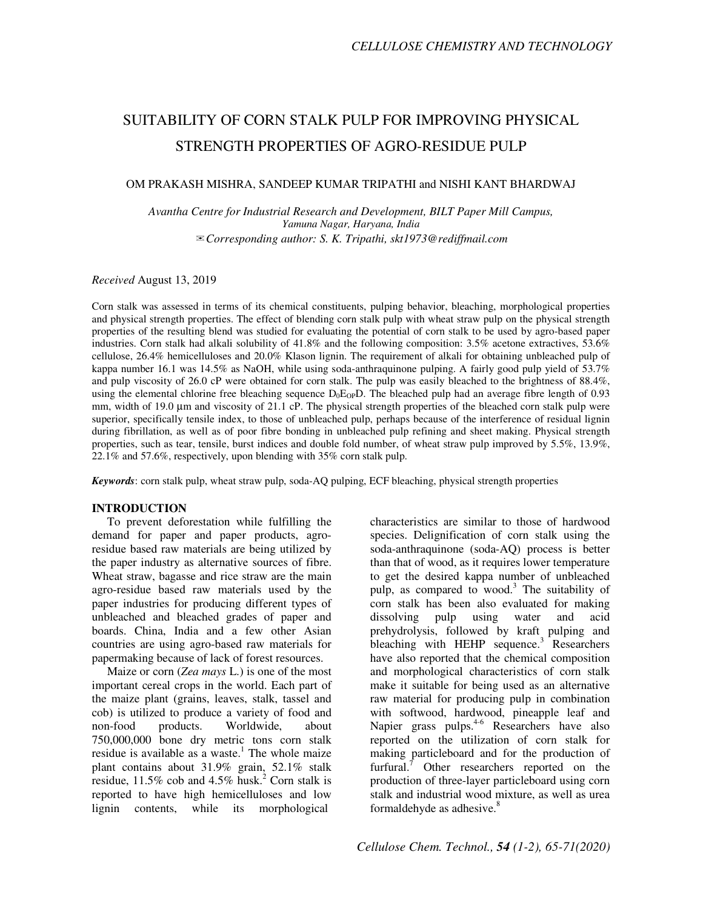# SUITABILITY OF CORN STALK PULP FOR IMPROVING PHYSICAL STRENGTH PROPERTIES OF AGRO-RESIDUE PULP

## OM PRAKASH MISHRA, SANDEEP KUMAR TRIPATHI and NISHI KANT BHARDWAJ

*Avantha Centre for Industrial Research and Development, BILT Paper Mill Campus, Yamuna Nagar, Haryana, India* ✉*Corresponding author: S. K. Tripathi, skt1973@rediffmail.com* 

## *Received* August 13, 2019

Corn stalk was assessed in terms of its chemical constituents, pulping behavior, bleaching, morphological properties and physical strength properties. The effect of blending corn stalk pulp with wheat straw pulp on the physical strength properties of the resulting blend was studied for evaluating the potential of corn stalk to be used by agro-based paper industries. Corn stalk had alkali solubility of 41.8% and the following composition: 3.5% acetone extractives, 53.6% cellulose, 26.4% hemicelluloses and 20.0% Klason lignin. The requirement of alkali for obtaining unbleached pulp of kappa number 16.1 was 14.5% as NaOH, while using soda-anthraquinone pulping. A fairly good pulp yield of 53.7% and pulp viscosity of 26.0 cP were obtained for corn stalk. The pulp was easily bleached to the brightness of 88.4%, using the elemental chlorine free bleaching sequence  $D_0E_{OP}D$ . The bleached pulp had an average fibre length of 0.93 mm, width of 19.0 µm and viscosity of 21.1 cP. The physical strength properties of the bleached corn stalk pulp were superior, specifically tensile index, to those of unbleached pulp, perhaps because of the interference of residual lignin during fibrillation, as well as of poor fibre bonding in unbleached pulp refining and sheet making. Physical strength properties, such as tear, tensile, burst indices and double fold number, of wheat straw pulp improved by 5.5%, 13.9%, 22.1% and 57.6%, respectively, upon blending with 35% corn stalk pulp.

*Keywords*: corn stalk pulp, wheat straw pulp, soda-AQ pulping, ECF bleaching, physical strength properties

## **INTRODUCTION**

To prevent deforestation while fulfilling the demand for paper and paper products, agroresidue based raw materials are being utilized by the paper industry as alternative sources of fibre. Wheat straw, bagasse and rice straw are the main agro-residue based raw materials used by the paper industries for producing different types of unbleached and bleached grades of paper and boards. China, India and a few other Asian countries are using agro-based raw materials for papermaking because of lack of forest resources.

Maize or corn (*Zea mays* L.) is one of the most important cereal crops in the world. Each part of the maize plant (grains, leaves, stalk, tassel and cob) is utilized to produce a variety of food and non-food products. Worldwide, about 750,000,000 bone dry metric tons corn stalk residue is available as a waste.<sup>1</sup> The whole maize plant contains about 31.9% grain, 52.1% stalk residue,  $11.5\%$  cob and  $4.5\%$  husk.<sup>2</sup> Corn stalk is reported to have high hemicelluloses and low lignin contents, while its morphological

characteristics are similar to those of hardwood species. Delignification of corn stalk using the soda-anthraquinone (soda-AQ) process is better than that of wood, as it requires lower temperature to get the desired kappa number of unbleached pulp, as compared to wood.<sup>3</sup> The suitability of corn stalk has been also evaluated for making dissolving pulp using water and acid prehydrolysis, followed by kraft pulping and bleaching with HEHP sequence. $3$  Researchers have also reported that the chemical composition and morphological characteristics of corn stalk make it suitable for being used as an alternative raw material for producing pulp in combination with softwood, hardwood, pineapple leaf and Napier grass pulps.<sup>4-6</sup> Researchers have also reported on the utilization of corn stalk for making particleboard and for the production of furfural.<sup> $7$ </sup> Other researchers reported on the production of three-layer particleboard using corn stalk and industrial wood mixture, as well as urea formaldehyde as adhesive.<sup>8</sup>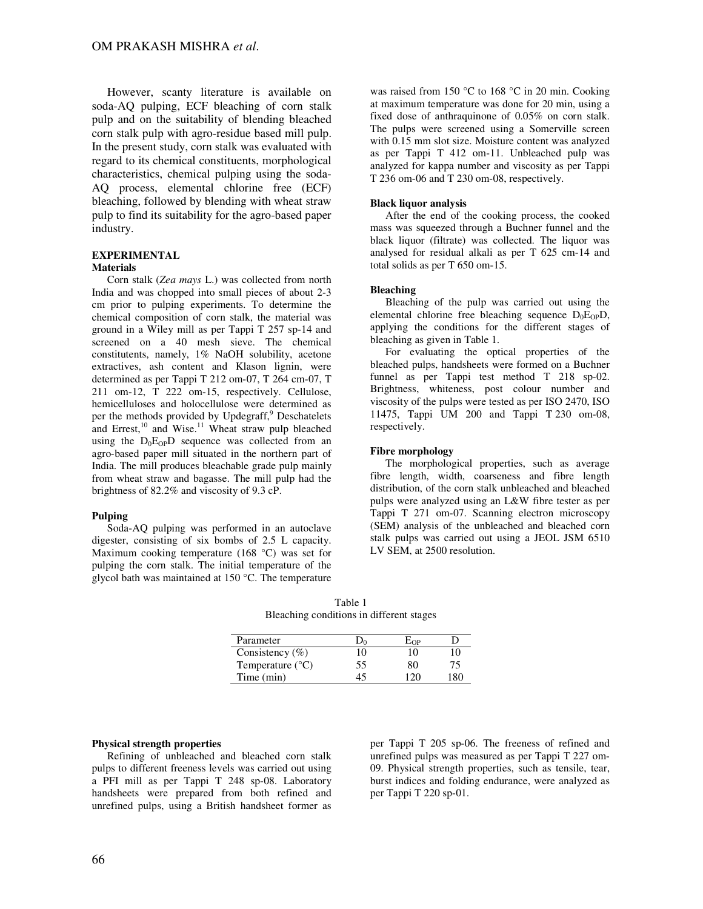However, scanty literature is available on soda-AQ pulping, ECF bleaching of corn stalk pulp and on the suitability of blending bleached corn stalk pulp with agro-residue based mill pulp. In the present study, corn stalk was evaluated with regard to its chemical constituents, morphological characteristics, chemical pulping using the soda-AQ process, elemental chlorine free (ECF) bleaching, followed by blending with wheat straw pulp to find its suitability for the agro-based paper industry.

## **EXPERIMENTAL**

## **Materials**

Corn stalk (*Zea mays* L.) was collected from north India and was chopped into small pieces of about 2-3 cm prior to pulping experiments. To determine the chemical composition of corn stalk, the material was ground in a Wiley mill as per Tappi T 257 sp-14 and screened on a 40 mesh sieve. The chemical constitutents, namely, 1% NaOH solubility, acetone extractives, ash content and Klason lignin, were determined as per Tappi T 212 om-07, T 264 cm-07, T 211 om-12, T 222 om-15, respectively. Cellulose, hemicelluloses and holocellulose were determined as per the methods provided by Updegraff,<sup>9</sup> Deschatelets and Errest, $^{10}$  and Wise. $^{11}$  Wheat straw pulp bleached using the  $D_0E_{OP}D$  sequence was collected from an agro-based paper mill situated in the northern part of India. The mill produces bleachable grade pulp mainly from wheat straw and bagasse. The mill pulp had the brightness of 82.2% and viscosity of 9.3 cP.

#### **Pulping**

Soda-AQ pulping was performed in an autoclave digester, consisting of six bombs of 2.5 L capacity. Maximum cooking temperature (168 °C) was set for pulping the corn stalk. The initial temperature of the glycol bath was maintained at 150 °C. The temperature was raised from 150 °C to 168 °C in 20 min. Cooking at maximum temperature was done for 20 min, using a fixed dose of anthraquinone of 0.05% on corn stalk. The pulps were screened using a Somerville screen with 0.15 mm slot size. Moisture content was analyzed as per Tappi T 412 om-11. Unbleached pulp was analyzed for kappa number and viscosity as per Tappi T 236 om-06 and T 230 om-08, respectively.

#### **Black liquor analysis**

After the end of the cooking process, the cooked mass was squeezed through a Buchner funnel and the black liquor (filtrate) was collected. The liquor was analysed for residual alkali as per T 625 cm-14 and total solids as per T 650 om-15.

#### **Bleaching**

Bleaching of the pulp was carried out using the elemental chlorine free bleaching sequence  $D_0E_{OP}D$ , applying the conditions for the different stages of bleaching as given in Table 1.

For evaluating the optical properties of the bleached pulps, handsheets were formed on a Buchner funnel as per Tappi test method T 218 sp-02. Brightness, whiteness, post colour number and viscosity of the pulps were tested as per ISO 2470, ISO 11475, Tappi UM 200 and Tappi T 230 om-08, respectively.

#### **Fibre morphology**

The morphological properties, such as average fibre length, width, coarseness and fibre length distribution, of the corn stalk unbleached and bleached pulps were analyzed using an L&W fibre tester as per Tappi T 271 om-07. Scanning electron microscopy (SEM) analysis of the unbleached and bleached corn stalk pulps was carried out using a JEOL JSM 6510 LV SEM, at 2500 resolution.

Table 1 Bleaching conditions in different stages

| Parameter                 |    | $\rm E_{OP}$ |     |
|---------------------------|----|--------------|-----|
| Consistency $(\%)$        | 10 | 10           | 10  |
| Temperature $(^{\circ}C)$ | 55 | 80           | 75  |
| Time (min)                | 45 | 120          | 180 |

#### **Physical strength properties**

Refining of unbleached and bleached corn stalk pulps to different freeness levels was carried out using a PFI mill as per Tappi T 248 sp-08. Laboratory handsheets were prepared from both refined and unrefined pulps, using a British handsheet former as

per Tappi T 205 sp-06. The freeness of refined and unrefined pulps was measured as per Tappi T 227 om-09. Physical strength properties, such as tensile, tear, burst indices and folding endurance, were analyzed as per Tappi T 220 sp-01.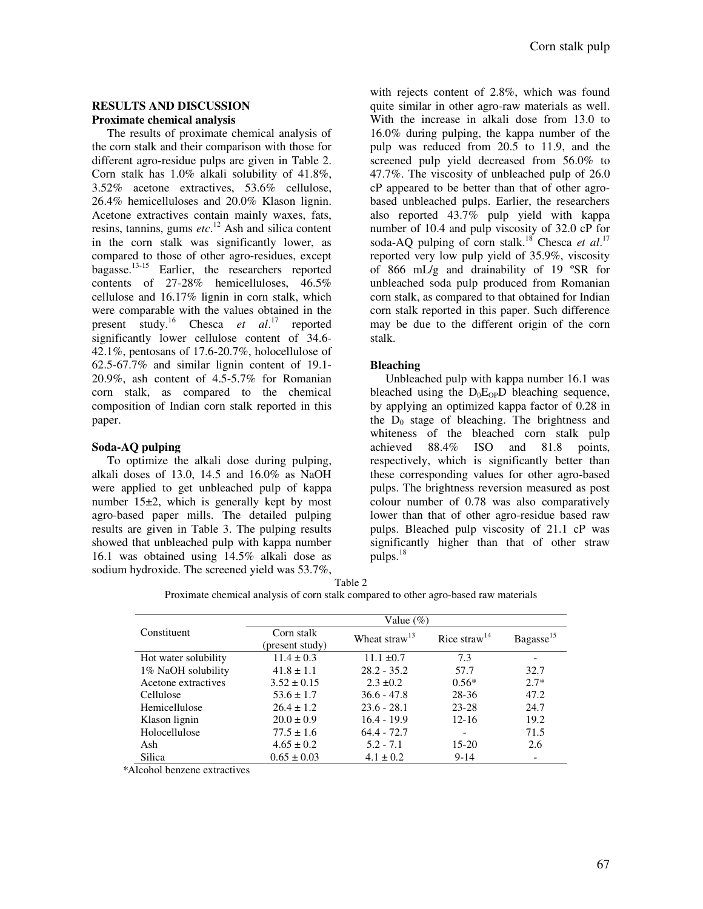## **RESULTS AND DISCUSSION Proximate chemical analysis**

The results of proximate chemical analysis of the corn stalk and their comparison with those for different agro-residue pulps are given in Table 2. Corn stalk has 1.0% alkali solubility of 41.8%, 3.52% acetone extractives, 53.6% cellulose, 26.4% hemicelluloses and 20.0% Klason lignin. Acetone extractives contain mainly waxes, fats, resins, tannins, gums *etc*. <sup>12</sup> Ash and silica content in the corn stalk was significantly lower, as compared to those of other agro-residues, except bagasse.<sup>13-15</sup> Earlier, the researchers reported contents of 27-28% hemicelluloses, 46.5% cellulose and 16.17% lignin in corn stalk, which were comparable with the values obtained in the present study.<sup>16</sup> Chesca *et al*. <sup>17</sup> reported significantly lower cellulose content of 34.6- 42.1%, pentosans of 17.6-20.7%, holocellulose of 62.5-67.7% and similar lignin content of 19.1- 20.9%, ash content of 4.5-5.7% for Romanian corn stalk, as compared to the chemical composition of Indian corn stalk reported in this paper.

## **Soda-AQ pulping**

To optimize the alkali dose during pulping, alkali doses of 13.0, 14.5 and 16.0% as NaOH were applied to get unbleached pulp of kappa number 15±2, which is generally kept by most agro-based paper mills. The detailed pulping results are given in Table 3. The pulping results showed that unbleached pulp with kappa number 16.1 was obtained using 14.5% alkali dose as sodium hydroxide. The screened yield was 53.7%,

with rejects content of 2.8%, which was found quite similar in other agro-raw materials as well. With the increase in alkali dose from 13.0 to 16.0% during pulping, the kappa number of the pulp was reduced from 20.5 to 11.9, and the screened pulp yield decreased from 56.0% to 47.7%. The viscosity of unbleached pulp of 26.0 cP appeared to be better than that of other agrobased unbleached pulps. Earlier, the researchers also reported 43.7% pulp yield with kappa number of 10.4 and pulp viscosity of 32.0 cP for soda-AQ pulping of corn stalk.<sup>18</sup> Chesca et al.<sup>17</sup> reported very low pulp yield of 35.9%, viscosity of 866 mL/g and drainability of 19 ºSR for unbleached soda pulp produced from Romanian corn stalk, as compared to that obtained for Indian corn stalk reported in this paper. Such difference may be due to the different origin of the corn stalk.

## **Bleaching**

Unbleached pulp with kappa number 16.1 was bleached using the  $D_0E_{OP}D$  bleaching sequence, by applying an optimized kappa factor of 0.28 in the  $D_0$  stage of bleaching. The brightness and whiteness of the bleached corn stalk pulp achieved 88.4% ISO and 81.8 points, respectively, which is significantly better than these corresponding values for other agro-based pulps. The brightness reversion measured as post colour number of 0.78 was also comparatively lower than that of other agro-residue based raw pulps. Bleached pulp viscosity of 21.1 cP was significantly higher than that of other straw pulps.<sup>18</sup>

Table 2

Proximate chemical analysis of corn stalk compared to other agro-based raw materials

|                      | Value $(\%)$                  |                           |                          |                       |  |  |
|----------------------|-------------------------------|---------------------------|--------------------------|-----------------------|--|--|
| Constituent          | Corn stalk<br>(present study) | Wheat straw <sup>13</sup> | Rice straw <sup>14</sup> | Bagasse <sup>15</sup> |  |  |
| Hot water solubility | $11.4 \pm 0.3$                | $11.1 \pm 0.7$            | 7.3                      |                       |  |  |
| 1% NaOH solubility   | $41.8 \pm 1.1$                | $28.2 - 35.2$             | 57.7                     | 32.7                  |  |  |
| Acetone extractives  | $3.52 \pm 0.15$               | $2.3 \pm 0.2$             | $0.56*$                  | $2.7*$                |  |  |
| Cellulose            | $53.6 \pm 1.7$                | $36.6 - 47.8$             | $28 - 36$                | 47.2                  |  |  |
| Hemicellulose        | $26.4 \pm 1.2$                | $23.6 - 28.1$             | $23 - 28$                | 24.7                  |  |  |
| Klason lignin        | $20.0 \pm 0.9$                | $16.4 - 19.9$             | $12 - 16$                | 19.2                  |  |  |
| Holocellulose        | $77.5 \pm 1.6$                | $64.4 - 72.7$             |                          | 71.5                  |  |  |
| Ash                  | $4.65 \pm 0.2$                | $5.2 - 7.1$               | $15-20$                  | 2.6                   |  |  |
| Silica               | $0.65 \pm 0.03$               | $4.1 \pm 0.2$             | $9-14$                   |                       |  |  |

*\**Alcohol benzene extractives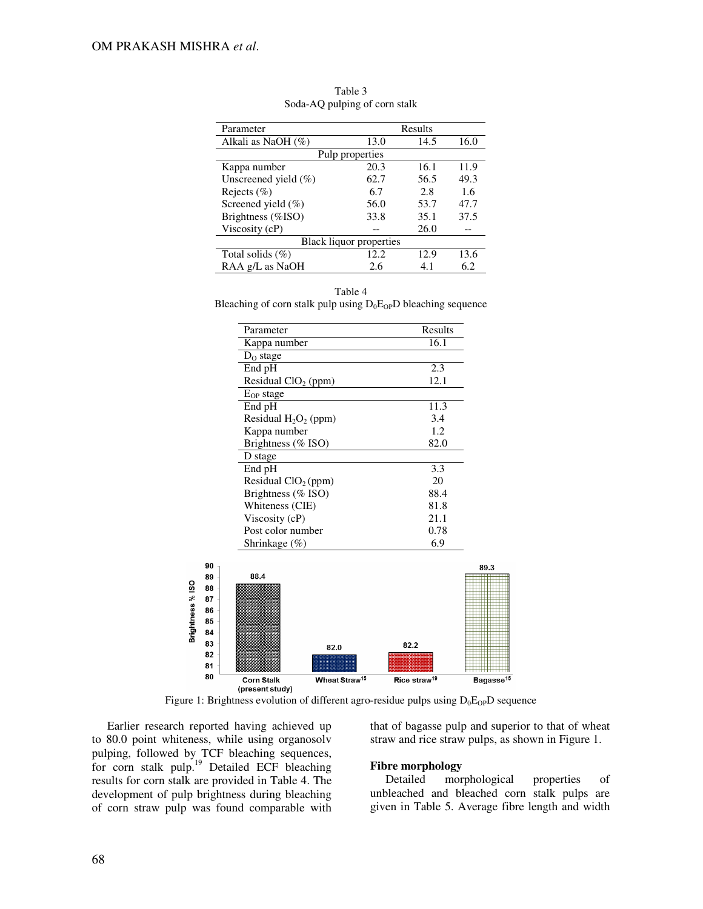| Parameter                | Results         |      |      |  |  |
|--------------------------|-----------------|------|------|--|--|
| Alkali as NaOH (%)       | 13.0            | 14.5 | 16.0 |  |  |
|                          | Pulp properties |      |      |  |  |
| Kappa number             | 20.3            | 16.1 | 11.9 |  |  |
| Unscreened yield $(\% )$ | 62.7            | 56.5 | 49.3 |  |  |
| Rejects $(\%)$           | 6.7             | 2.8  | 1.6  |  |  |
| Screened yield $(\% )$   | 56.0            | 53.7 | 47.7 |  |  |
| Brightness (%ISO)        | 33.8            | 35.1 | 37.5 |  |  |
| Viscosity (cP)           |                 | 26.0 |      |  |  |
| Black liquor properties  |                 |      |      |  |  |
| Total solids $(\%)$      | 12.2            | 12.9 | 13.6 |  |  |
| RAA g/L as NaOH          | 2.6             | 4.1  | 6.2  |  |  |

Table 3 Soda-AQ pulping of corn stalk

#### Table 4

Bleaching of corn stalk pulp using  $D_0E_{OP}D$  bleaching sequence

| Parameter                       | Results |
|---------------------------------|---------|
| Kappa number                    | 16.1    |
| $D_0$ stage                     |         |
| End pH                          | 2.3     |
| Residual ClO <sub>2</sub> (ppm) | 12.1    |
| $E_{OP}$ stage                  |         |
| End pH                          | 11.3    |
| Residual $H_2O_2$ (ppm)         | 3.4     |
| Kappa number                    | 1.2     |
| Brightness (% ISO)              | 82.0    |
| D stage                         |         |
| End pH                          | 3.3     |
| Residual $ClO2(ppm)$            | 20      |
| Brightness (% ISO)              | 88.4    |
| Whiteness (CIE)                 | 81.8    |
| Viscosity (cP)                  | 21.1    |
| Post color number               | 0.78    |
| Shrinkage $(\%)$                | 6.9     |



Figure 1: Brightness evolution of different agro-residue pulps using  $D_0E_{OP}D$  sequence

Earlier research reported having achieved up to 80.0 point whiteness, while using organosolv pulping, followed by TCF bleaching sequences, for corn stalk pulp.<sup>19</sup> Detailed ECF bleaching results for corn stalk are provided in Table 4. The development of pulp brightness during bleaching of corn straw pulp was found comparable with

that of bagasse pulp and superior to that of wheat straw and rice straw pulps, as shown in Figure 1.

### **Fibre morphology**

Detailed morphological properties of unbleached and bleached corn stalk pulps are given in Table 5. Average fibre length and width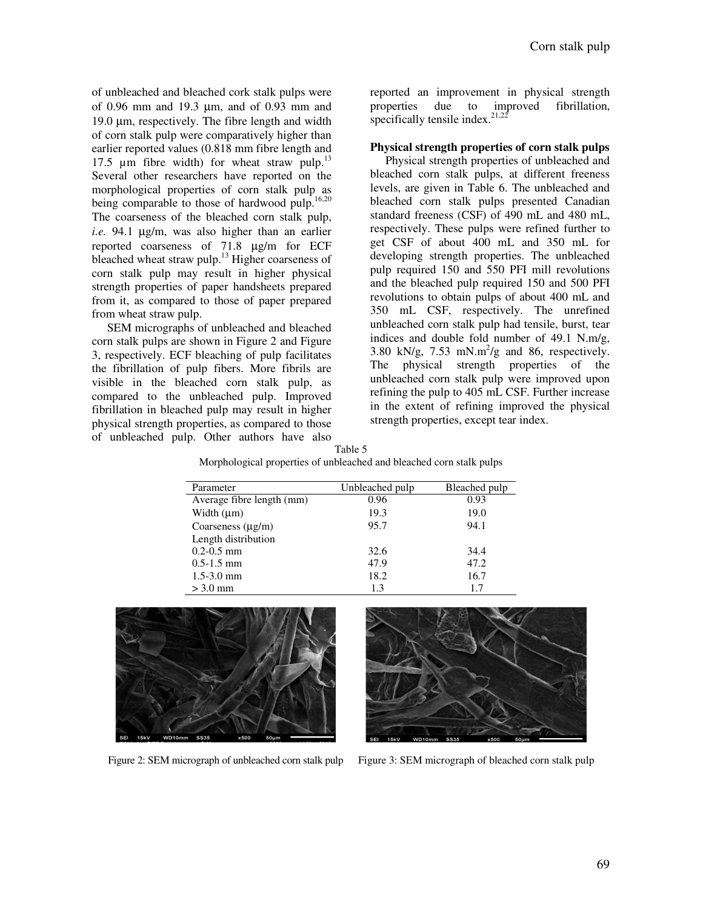of unbleached and bleached cork stalk pulps were of 0.96 mm and 19.3 µm, and of 0.93 mm and 19.0 µm, respectively. The fibre length and width of corn stalk pulp were comparatively higher than earlier reported values (0.818 mm fibre length and 17.5  $\mu$ m fibre width) for wheat straw pulp.<sup>13</sup> Several other researchers have reported on the morphological properties of corn stalk pulp as being comparable to those of hardwood pulp.<sup>16,20</sup> The coarseness of the bleached corn stalk pulp, *i.e.* 94.1 µg/m, was also higher than an earlier reported coarseness of 71.8 µg/m for ECF bleached wheat straw pulp.<sup>13</sup> Higher coarseness of corn stalk pulp may result in higher physical strength properties of paper handsheets prepared from it, as compared to those of paper prepared from wheat straw pulp.

SEM micrographs of unbleached and bleached corn stalk pulps are shown in Figure 2 and Figure 3, respectively. ECF bleaching of pulp facilitates the fibrillation of pulp fibers. More fibrils are visible in the bleached corn stalk pulp, as compared to the unbleached pulp. Improved fibrillation in bleached pulp may result in higher physical strength properties, as compared to those of unbleached pulp. Other authors have also Table 5

reported an improvement in physical strength properties due to improved fibrillation, specifically tensile index. $2^{1,22}$ 

## **Physical strength properties of corn stalk pulps**

Physical strength properties of unbleached and bleached corn stalk pulps, at different freeness levels, are given in Table 6. The unbleached and bleached corn stalk pulps presented Canadian standard freeness (CSF) of 490 mL and 480 mL, respectively. These pulps were refined further to get CSF of about 400 mL and 350 mL for developing strength properties. The unbleached pulp required 150 and 550 PFI mill revolutions and the bleached pulp required 150 and 500 PFI revolutions to obtain pulps of about 400 mL and 350 mL CSF, respectively. The unrefined unbleached corn stalk pulp had tensile, burst, tear indices and double fold number of 49.1 N.m/g, 3.80 kN/g, 7.53 mN.m<sup>2</sup>/g and 86, respectively. The physical strength properties of the unbleached corn stalk pulp were improved upon refining the pulp to 405 mL CSF. Further increase in the extent of refining improved the physical strength properties, except tear index.

| Morphological properties of unbleached and bleached corn stalk pulps |                 |               |  |  |
|----------------------------------------------------------------------|-----------------|---------------|--|--|
| Parameter                                                            | Unbleached pulp | Bleached pulp |  |  |
| Average fibre length (mm)                                            | 0.96            | 0.93          |  |  |
| Width $(\mu m)$                                                      | 19.3            | 19.0          |  |  |
| Coarseness $(\mu g/m)$                                               | 95.7            | 94.1          |  |  |
| Length distribution                                                  |                 |               |  |  |
| $0.2 - 0.5$ mm                                                       | 32.6            | 34.4          |  |  |
| $0.5 - 1.5$ mm                                                       | 47.9            | 47.2          |  |  |
| $1.5 - 3.0$ mm                                                       | 18.2            | 16.7          |  |  |
| $>$ 3.0 mm                                                           | 1.3             |               |  |  |





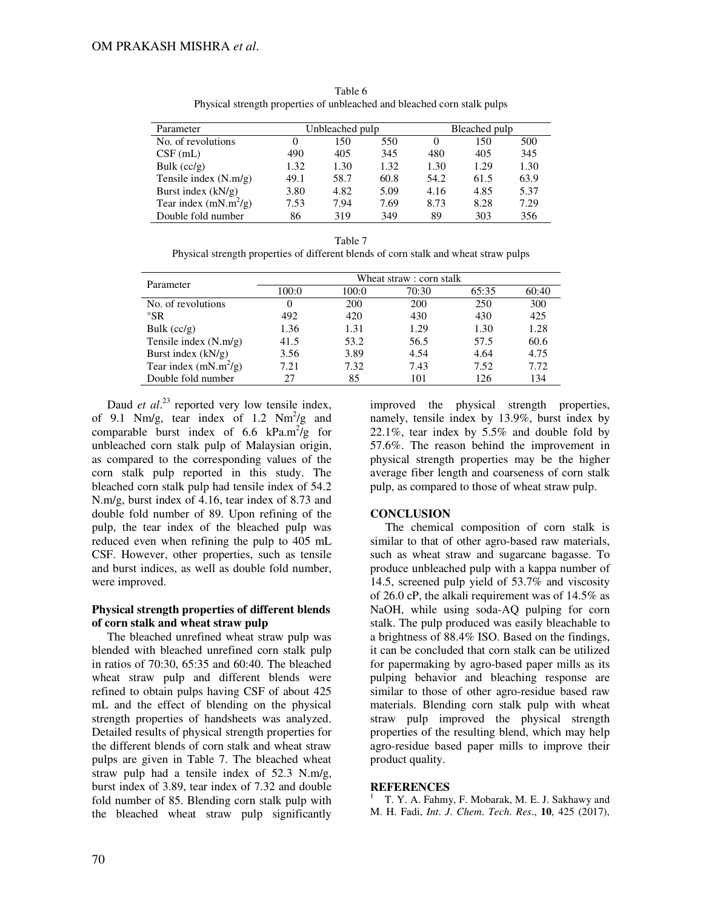| Parameter               |      | Unbleached pulp |      |          | Bleached pulp |      |  |
|-------------------------|------|-----------------|------|----------|---------------|------|--|
| No. of revolutions      |      | 150             | 550  | $\Omega$ | 150           | 500  |  |
| $CSF$ (mL)              | 490  | 405             | 345  | 480      | 405           | 345  |  |
| Bulk $(cc/g)$           | 1.32 | 1.30            | 1.32 | 1.30     | 1.29          | 1.30 |  |
| Tensile index $(N.m/g)$ | 49.1 | 58.7            | 60.8 | 54.2     | 61.5          | 63.9 |  |
| Burst index $(kN/g)$    | 3.80 | 4.82            | 5.09 | 4.16     | 4.85          | 5.37 |  |
| Tear index $(mN.m^2/g)$ | 7.53 | 7.94            | 7.69 | 8.73     | 8.28          | 7.29 |  |
| Double fold number      | 86   | 319             | 349  | 89       | 303           | 356  |  |

Table 6 Physical strength properties of unbleached and bleached corn stalk pulps

| . .<br>M<br>v<br>۰. |  |
|---------------------|--|
|---------------------|--|

Physical strength properties of different blends of corn stalk and wheat straw pulps

| Parameter               | Wheat straw : corn stalk |       |       |       |       |
|-------------------------|--------------------------|-------|-------|-------|-------|
|                         | 100:0                    | 100:0 | 70:30 | 65:35 | 60:40 |
| No. of revolutions      | 0                        | 200   | 200   | 250   | 300   |
| $\mathrm{S}R$           | 492                      | 420   | 430   | 430   | 425   |
| Bulk $(cc/g)$           | 1.36                     | 1.31  | 1.29  | 1.30  | 1.28  |
| Tensile index (N.m/g)   | 41.5                     | 53.2  | 56.5  | 57.5  | 60.6  |
| Burst index $(kN/g)$    | 3.56                     | 3.89  | 4.54  | 4.64  | 4.75  |
| Tear index $(mN.m^2/g)$ | 7.21                     | 7.32  | 7.43  | 7.52  | 7.72  |
| Double fold number      | 27                       | 85    | 101   | 126   | 134   |

Daud *et al.*<sup>23</sup> reported very low tensile index, of 9.1 Nm/g, tear index of 1.2 Nm<sup>2</sup>/g and comparable burst index of 6.6  $kPa.m^2/g$  for unbleached corn stalk pulp of Malaysian origin, as compared to the corresponding values of the corn stalk pulp reported in this study. The bleached corn stalk pulp had tensile index of 54.2 N.m/g, burst index of 4.16, tear index of 8.73 and double fold number of 89. Upon refining of the pulp, the tear index of the bleached pulp was reduced even when refining the pulp to 405 mL CSF. However, other properties, such as tensile and burst indices, as well as double fold number, were improved.

## **Physical strength properties of different blends of corn stalk and wheat straw pulp**

The bleached unrefined wheat straw pulp was blended with bleached unrefined corn stalk pulp in ratios of 70:30, 65:35 and 60:40. The bleached wheat straw pulp and different blends were refined to obtain pulps having CSF of about 425 mL and the effect of blending on the physical strength properties of handsheets was analyzed. Detailed results of physical strength properties for the different blends of corn stalk and wheat straw pulps are given in Table 7. The bleached wheat straw pulp had a tensile index of 52.3 N.m/g, burst index of 3.89, tear index of 7.32 and double fold number of 85. Blending corn stalk pulp with the bleached wheat straw pulp significantly

improved the physical strength properties, namely, tensile index by 13.9%, burst index by 22.1%, tear index by 5.5% and double fold by 57.6%. The reason behind the improvement in physical strength properties may be the higher average fiber length and coarseness of corn stalk pulp, as compared to those of wheat straw pulp.

## **CONCLUSION**

The chemical composition of corn stalk is similar to that of other agro-based raw materials, such as wheat straw and sugarcane bagasse. To produce unbleached pulp with a kappa number of 14.5, screened pulp yield of 53.7% and viscosity of 26.0 cP, the alkali requirement was of 14.5% as NaOH, while using soda-AQ pulping for corn stalk. The pulp produced was easily bleachable to a brightness of 88.4% ISO. Based on the findings, it can be concluded that corn stalk can be utilized for papermaking by agro-based paper mills as its pulping behavior and bleaching response are similar to those of other agro-residue based raw materials. Blending corn stalk pulp with wheat straw pulp improved the physical strength properties of the resulting blend, which may help agro-residue based paper mills to improve their product quality.

## **REFERENCES**

1 T. Y. A. Fahmy, F. Mobarak, M. E. J. Sakhawy and M. H. Fadi, *Int*. *J*. *Chem*. *Tech*. *Res*., **10**, 425 (2017),